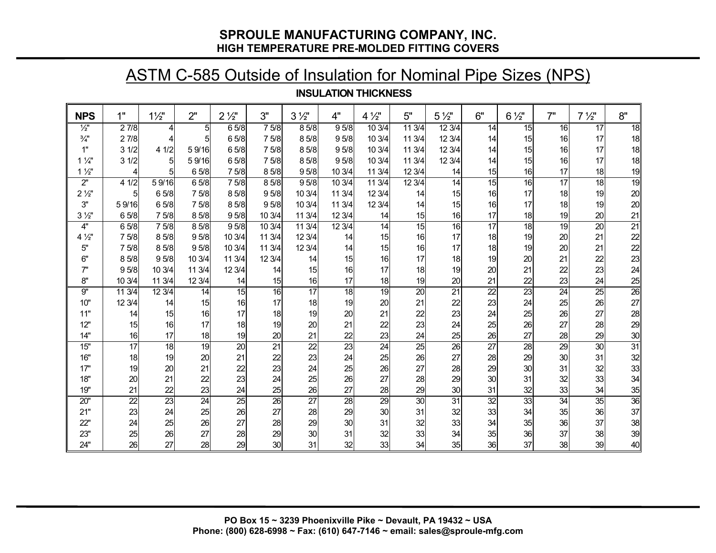### **SPROULE MANUFACTURING COMPANY, INC. HIGH TEMPERATURE PRE-MOLDED FITTING COVERS**

## ASTM C-585 Outside of Insulation for Nominal Pipe Sizes (NPS)

#### **INSULATION THICKNESS**

| <b>NPS</b>         | 1"               | $1\frac{1}{2}$  | 2"               | $2\frac{1}{2}$  | 3"              | $3\frac{1}{2}$   | 4"               | $4\frac{1}{2}$  | 5"              | $5\frac{1}{2}$  | 6"              | $6\frac{1}{2}$  | 7"              | $7\frac{1}{2}$  | 8"              |
|--------------------|------------------|-----------------|------------------|-----------------|-----------------|------------------|------------------|-----------------|-----------------|-----------------|-----------------|-----------------|-----------------|-----------------|-----------------|
| $\frac{1}{2}$      | 27/8             | 4               | 5                | 65/8            | 75/8            | 85/8             | 95/8             | 103/4           | 113/4           | 123/4           | 14              | 15              | 16              | $\overline{17}$ | 18              |
| $\frac{3}{4}$ "    | 27/8             | 4               | 5 <sub>l</sub>   | 65/8            | 7 5/8           | 85/8             | 95/8             | 10 3/4          | 113/4           | 12 3/4          | 14              | 15              | 16              | 17              | 18              |
| 1"                 | 31/2             | 41/2            | 59/16            | 65/8            | 7 5/8           | 85/8             | 9 <sub>5/8</sub> | 10 3/4          | 11 3/4          | 12 3/4          | 14              | 15              | 16              | 17              | 18              |
| $1\frac{1}{4}$     | 31/2             | $5\overline{)}$ | 59/16            | 65/8            | 7 5/8           | 85/8             | 95/8             | 10 3/4          | 11 3/4          | 12 3/4          | 14              | 15              | 16              | 17              | 18              |
| $1\frac{1}{2}$     |                  | 5               | 65/8             | 7 5/8           | 85/8            | 9 <sub>5/8</sub> | 10 3/4           | 11 3/4          | 123/4           | 14              | 15              | 16              | 17              | 18              | 19              |
| $2^{\prime\prime}$ | 41/2             | 59/16           | 65/8             | 75/8            | 85/8            | 95/8             | 10 3/4           | 11 3/4          | 123/4           | $\overline{14}$ | 15              | 16              | $\overline{17}$ | 18              | 19              |
| $2\frac{1}{2}$     | 5                | 65/8            | 7 5/8            | 85/8            | 95/8            | 10 3/4           | 11 3/4           | 12 3/4          | 14              | 15              | 16              | 17              | 18              | 19              | 20              |
| 3"                 | 59/16            | 65/8            | 7 5/8            | 85/8            | 95/8            | 10 3/4           | 11 3/4           | 12 3/4          | 14              | 15              | 16              | 17              | 18              | 19              | 20              |
| $3\frac{1}{2}$     | 65/8             | 7 5/8           | 85/8             | 95/8            | 10 3/4          | 11 3/4           | 12 3/4           | 14              | 15              | 16              | 17              | 18              | 19              | 20              | 21              |
| 4"                 | 65/8             | 7 5/8           | 8 5/8            | 95/8            | 10 3/4          | 11 3/4           | 12 3/4           | $\overline{14}$ | 15              | 16              | $\overline{17}$ | 18              | 19              | $\overline{20}$ | 21              |
| $4\frac{1}{2}$     | 75/8             | 85/8            | 9 <sub>5/8</sub> | 10 3/4          | 11 3/4          | 12 3/4           | 14               | 15              | 16              | 17              | 18              | 19              | 20              | 21              | 22              |
| 5"                 | 75/8             | 8 5/8           | 9 <sub>5/8</sub> | 10 3/4          | 11 3/4          | 12 3/4           | 14               | 15              | 16              | 17              | 18              | 19              | 20              | 21              | 22              |
| 6"                 | 85/8             | 95/8            | 10 3/4           | 11 3/4          | 12 3/4          | 14               | 15               | 16              | 17              | 18              | 19              | 20              | 21              | 22              | 23              |
| 7"                 | 9 <sub>5/8</sub> | 10 3/4          | 11 3/4           | 12 3/4          | 14              | 15               | 16               | 17              | 18              | 19              | 20              | 21              | 22              | 23              | 24              |
| 8"                 | 10 3/4           | 11 3/4          | 12 3/4           | 14              | 15              | 16               | 17               | 18              | 19              | 20              | 21              | 22              | 23              | 24              | $\frac{25}{26}$ |
| 9"                 | 11 3/4           | 12 3/4          | $\overline{14}$  | 15              | 16              | 17               | $\overline{18}$  | 19              | $\overline{20}$ | $\overline{21}$ | $\overline{22}$ | 23              | $\overline{24}$ | $\overline{25}$ |                 |
| 10"                | 12 3/4           | 14              | 15               | 16              | 17              | 18               | 19               | 20              | 21              | 22              | 23              | 24              | 25              | 26              | 27              |
| 11"                | 14               | 15              | 16               | 17              | 18              | 19               | 20               | 21              | 22              | 23              | 24              | 25              | 26              | 27              | 28              |
| 12"                | 15               | 16              | 17               | 18              | 19              | 20               | 21               | 22              | 23              | 24              | 25              | 26              | 27              | 28              | 29              |
| 14"                | 16               | 17              | 18               | 19              | 20              | 21               | 22               | 23              | 24              | 25              | 26              | 27              | 28              | 29              | 30              |
| 15"                | $\overline{17}$  | 18              | 19               | $\overline{20}$ | $\overline{21}$ | $\overline{22}$  | $\overline{23}$  | $\overline{24}$ | $\overline{25}$ | $\overline{26}$ | $\overline{27}$ | 28              | $\overline{29}$ | $\overline{30}$ | 31              |
| 16"                | 18               | 19              | 20 <sup>°</sup>  | 21              | 22              | 23               | 24               | 25              | 26              | 27              | 28              | 29              | 30 <sup>°</sup> | 31              | 32              |
| 17"                | 19               | 20              | 21               | 22              | 23              | 24               | 25               | 26              | 27              | 28              | 29              | 30 <sub>l</sub> | 31              | 32              | 33              |
| 18"                | 20               | 21              | 22               | 23              | 24              | 25               | 26               | 27              | 28              | 29              | 30              | 31              | 32              | 33              | 34              |
| 19"                | 21               | 22              | 23               | 24              | 25              | 26               | 27               | 28              | 29              | 30              | 31              | 32              | 33              | 34              | 35              |
| 20"                | 22               | $\overline{23}$ | 24               | 25              | $\overline{26}$ | 27               | 28               | $\overline{29}$ | 30 <sup>°</sup> | 31              | 32              | 33              | 34              | 35              | 36              |
| 21"                | 23               | 24              | 25               | 26              | 27              | 28               | 29               | 30 <sup>1</sup> | 31              | 32              | 33              | 34              | 35              | 36              | 37              |
| 22"                | 24               | 25              | 26               | 27              | 28              | 29               | 30               | 31              | 32              | 33              | 34              | 35              | 36              | 37              | 38              |
| 23"                | 25               | 26              | 27               | 28              | 29              | 30               | 31               | 32              | 33              | 34              | 35              | 36              | 37              | 38              | 39              |
| 24"                | 26               | 27              | 28               | 29              | 30              | 31               | 32               | 33              | 34              | 35              | 36              | 37              | 38              | 39              | 40              |